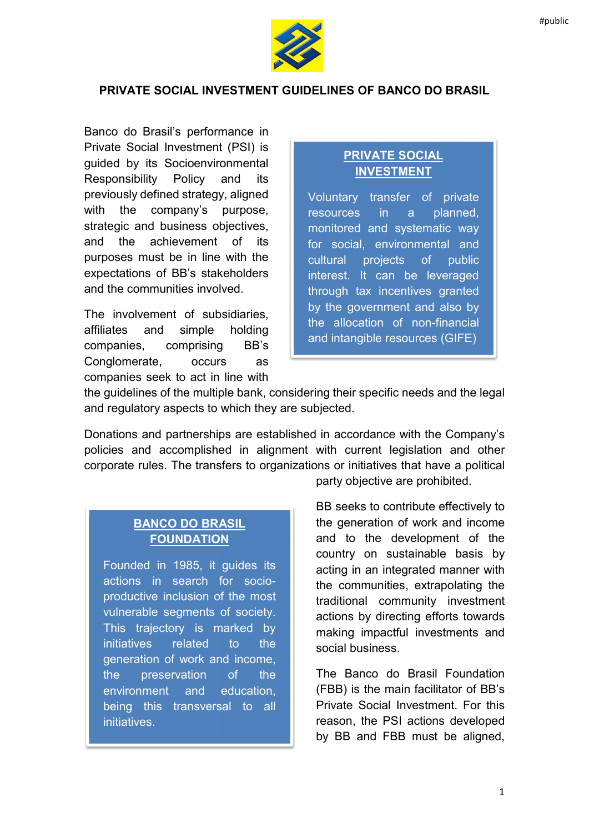

### PRIVATE SOCIAL INVESTMENT GUIDELINES OF BANCO DO BRASIL

Banco do Brasil's performance in Private Social Investment (PSI) is guided by its Socioenvironmental Responsibility Policy and its previously defined strategy, aligned with the company's purpose, strategic and business objectives, and the achievement of its purposes must be in line with the expectations of BB's stakeholders and the communities involved.

The involvement of subsidiaries, affiliates and simple holding companies, comprising BB's Conglomerate, occurs as companies seek to act in line with

## PRIVATE SOCIAL INVESTMENT

Voluntary transfer of private resources in a planned, monitored and systematic way for social, environmental and cultural projects of public interest. It can be leveraged through tax incentives granted by the government and also by the allocation of non-financial and intangible resources (GIFE)

the guidelines of the multiple bank, considering their specific needs and the legal and regulatory aspects to which they are subjected.

Donations and partnerships are established in accordance with the Company's policies and accomplished in alignment with current legislation and other corporate rules. The transfers to organizations or initiatives that have a political

# BANCO DO BRASIL FOUNDATION

Founded in 1985, it guides its actions in search for socioproductive inclusion of the most vulnerable segments of society. This trajectory is marked by initiatives related to the generation of work and income, the preservation of the environment and education, being this transversal to all initiatives.

party objective are prohibited.

BB seeks to contribute effectively to the generation of work and income and to the development of the country on sustainable basis by acting in an integrated manner with the communities, extrapolating the traditional community investment actions by directing efforts towards making impactful investments and social business.

The Banco do Brasil Foundation (FBB) is the main facilitator of BB's Private Social Investment. For this reason, the PSI actions developed by BB and FBB must be aligned,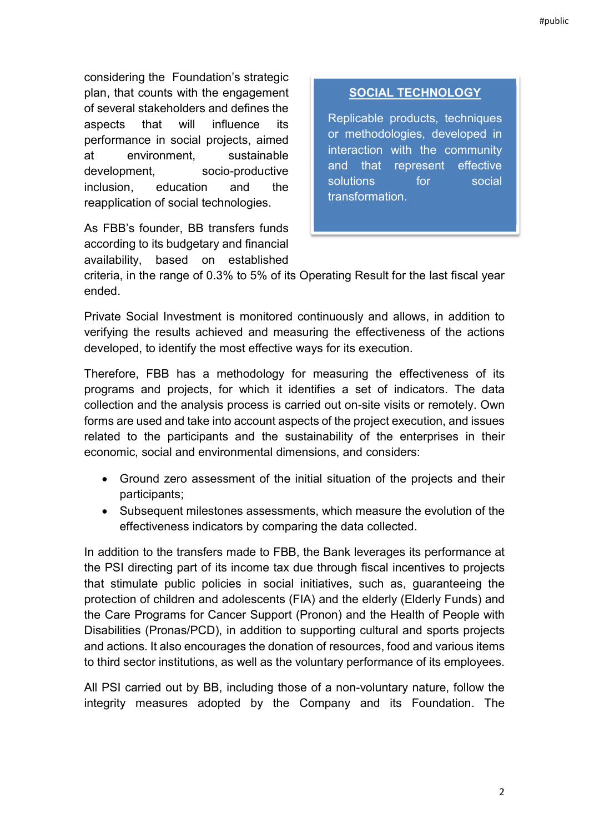considering the Foundation's strategic plan, that counts with the engagement of several stakeholders and defines the aspects that will influence its performance in social projects, aimed at environment, sustainable development, socio-productive inclusion, education and the reapplication of social technologies.

As FBB's founder, BB transfers funds according to its budgetary and financial availability, based on established

## SOCIAL TECHNOLOGY

Replicable products, techniques or methodologies, developed in interaction with the community and that represent effective solutions for social transformation.

criteria, in the range of 0.3% to 5% of its Operating Result for the last fiscal year ended.

Private Social Investment is monitored continuously and allows, in addition to verifying the results achieved and measuring the effectiveness of the actions developed, to identify the most effective ways for its execution.

Therefore, FBB has a methodology for measuring the effectiveness of its programs and projects, for which it identifies a set of indicators. The data collection and the analysis process is carried out on-site visits or remotely. Own forms are used and take into account aspects of the project execution, and issues related to the participants and the sustainability of the enterprises in their economic, social and environmental dimensions, and considers:

- Ground zero assessment of the initial situation of the projects and their participants;
- Subsequent milestones assessments, which measure the evolution of the effectiveness indicators by comparing the data collected.

In addition to the transfers made to FBB, the Bank leverages its performance at the PSI directing part of its income tax due through fiscal incentives to projects that stimulate public policies in social initiatives, such as, guaranteeing the protection of children and adolescents (FIA) and the elderly (Elderly Funds) and the Care Programs for Cancer Support (Pronon) and the Health of People with Disabilities (Pronas/PCD), in addition to supporting cultural and sports projects and actions. It also encourages the donation of resources, food and various items to third sector institutions, as well as the voluntary performance of its employees.

All PSI carried out by BB, including those of a non-voluntary nature, follow the integrity measures adopted by the Company and its Foundation. The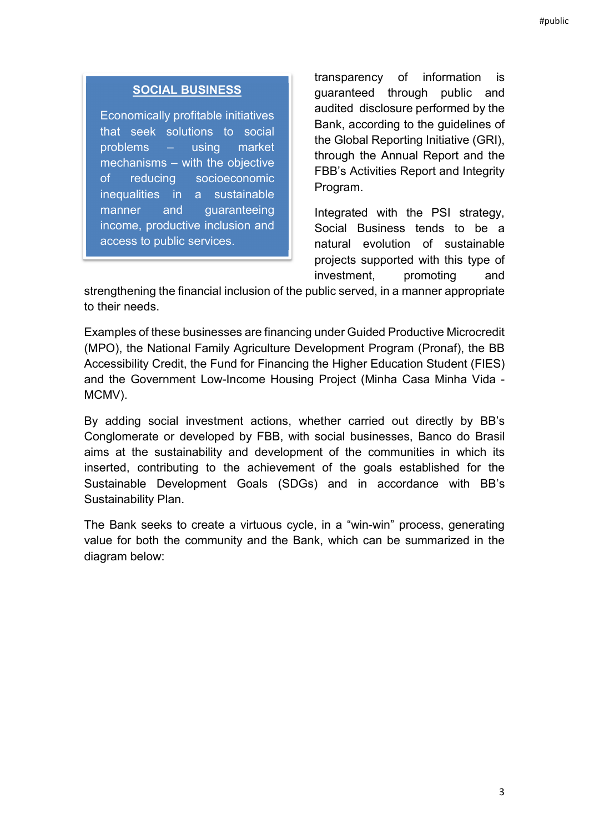#### SOCIAL BUSINESS

Economically profitable initiatives that seek solutions to social problems – using market mechanisms – with the objective of reducing socioeconomic inequalities in a sustainable manner and guaranteeing income, productive inclusion and access to public services.

transparency of information is guaranteed through public and audited disclosure performed by the Bank, according to the guidelines of the Global Reporting Initiative (GRI), through the Annual Report and the FBB's Activities Report and Integrity Program.

Integrated with the PSI strategy, Social Business tends to be a natural evolution of sustainable projects supported with this type of investment, promoting and

strengthening the financial inclusion of the public served, in a manner appropriate to their needs.

Examples of these businesses are financing under Guided Productive Microcredit (MPO), the National Family Agriculture Development Program (Pronaf), the BB Accessibility Credit, the Fund for Financing the Higher Education Student (FIES) and the Government Low-Income Housing Project (Minha Casa Minha Vida - MCMV).

By adding social investment actions, whether carried out directly by BB's Conglomerate or developed by FBB, with social businesses, Banco do Brasil aims at the sustainability and development of the communities in which its inserted, contributing to the achievement of the goals established for the Sustainable Development Goals (SDGs) and in accordance with BB's Sustainability Plan.

The Bank seeks to create a virtuous cycle, in a "win-win" process, generating value for both the community and the Bank, which can be summarized in the diagram below: